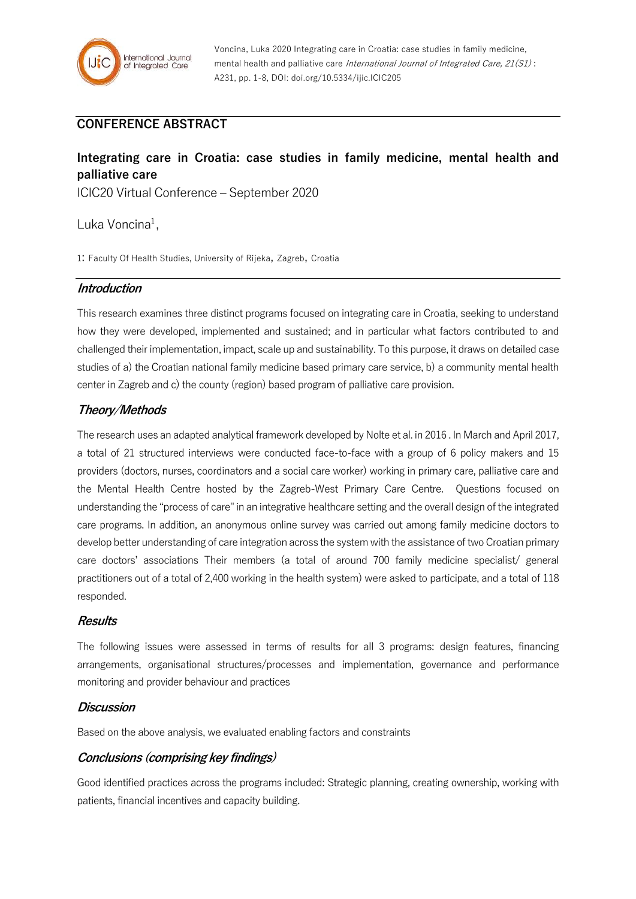

# **CONFERENCE ABSTRACT**

# **Integrating care in Croatia: case studies in family medicine, mental health and palliative care**

ICIC20 Virtual Conference – September 2020

Luka Voncina<sup>1</sup>,

1: Faculty Of Health Studies, University of Rijeka, Zagreb, Croatia

#### **Introduction**

This research examines three distinct programs focused on integrating care in Croatia, seeking to understand how they were developed, implemented and sustained; and in particular what factors contributed to and challenged their implementation, impact, scale up and sustainability. To this purpose, it draws on detailed case studies of a) the Croatian national family medicine based primary care service, b) a community mental health center in Zagreb and c) the county (region) based program of palliative care provision.

## **Theory/Methods**

The research uses an adapted analytical framework developed by Nolte et al. in 2016 . In March and April 2017, a total of 21 structured interviews were conducted face-to-face with a group of 6 policy makers and 15 providers (doctors, nurses, coordinators and a social care worker) working in primary care, palliative care and the Mental Health Centre hosted by the Zagreb-West Primary Care Centre. Questions focused on understanding the "process of care" in an integrative healthcare setting and the overall design of the integrated care programs. In addition, an anonymous online survey was carried out among family medicine doctors to develop better understanding of care integration across the system with the assistance of two Croatian primary care doctors' associations Their members (a total of around 700 family medicine specialist/ general practitioners out of a total of 2,400 working in the health system) were asked to participate, and a total of 118 responded.

#### **Results**

The following issues were assessed in terms of results for all 3 programs: design features, financing arrangements, organisational structures/processes and implementation, governance and performance monitoring and provider behaviour and practices

#### **Discussion**

Based on the above analysis, we evaluated enabling factors and constraints

## **Conclusions (comprising key findings)**

Good identified practices across the programs included: Strategic planning, creating ownership, working with patients, financial incentives and capacity building.